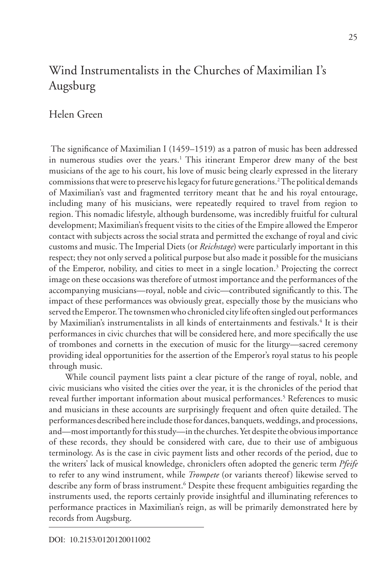# Wind Instrumentalists in the Churches of Maximilian I's Augsburg

# Helen Green

 The significance of Maximilian I (1459–1519) as a patron of music has been addressed in numerous studies over the years.<sup>1</sup> This itinerant Emperor drew many of the best musicians of the age to his court, his love of music being clearly expressed in the literary commissions that were to preserve his legacy for future generations.2 The political demands of Maximilian's vast and fragmented territory meant that he and his royal entourage, including many of his musicians, were repeatedly required to travel from region to region. This nomadic lifestyle, although burdensome, was incredibly fruitful for cultural development; Maximilian's frequent visits to the cities of the Empire allowed the Emperor contact with subjects across the social strata and permitted the exchange of royal and civic customs and music. The Imperial Diets (or *Reichstage*) were particularly important in this respect; they not only served a political purpose but also made it possible for the musicians of the Emperor, nobility, and cities to meet in a single location.<sup>3</sup> Projecting the correct image on these occasions was therefore of utmost importance and the performances of the accompanying musicians—royal, noble and civic—contributed significantly to this. The impact of these performances was obviously great, especially those by the musicians who served the Emperor. The townsmen who chronicled city life often singled out performances by Maximilian's instrumentalists in all kinds of entertainments and festivals.<sup>4</sup> It is their performances in civic churches that will be considered here, and more specifically the use of trombones and cornetts in the execution of music for the liturgy—sacred ceremony providing ideal opportunities for the assertion of the Emperor's royal status to his people through music.

While council payment lists paint a clear picture of the range of royal, noble, and civic musicians who visited the cities over the year, it is the chronicles of the period that reveal further important information about musical performances.<sup>5</sup> References to music and musicians in these accounts are surprisingly frequent and often quite detailed. The performances described here include those for dances, banquets, weddings, and processions, and—most importantly for this study—in the churches. Yet despite the obvious importance of these records, they should be considered with care, due to their use of ambiguous terminology. As is the case in civic payment lists and other records of the period, due to the writers' lack of musical knowledge, chroniclers often adopted the generic term *Pfeife* to refer to any wind instrument, while *Trompete* (or variants thereof) likewise served to describe any form of brass instrument.<sup>6</sup> Despite these frequent ambiguities regarding the instruments used, the reports certainly provide insightful and illuminating references to performance practices in Maximilian's reign, as will be primarily demonstrated here by records from Augsburg.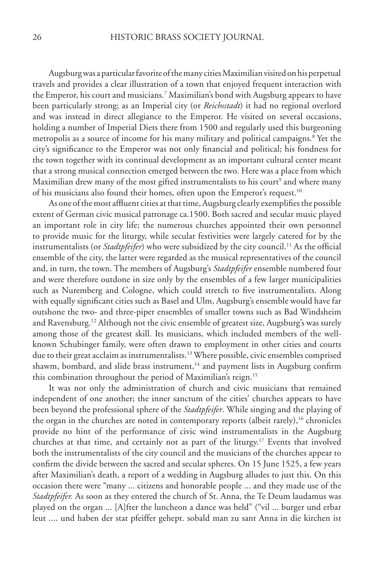Augsburg was a particular favorite of the many cities Maximilian visited on his perpetual travels and provides a clear illustration of a town that enjoyed frequent interaction with the Emperor, his court and musicians.7 Maximilian's bond with Augsburg appears to have been particularly strong; as an Imperial city (or *Reichsstadt*) it had no regional overlord and was instead in direct allegiance to the Emperor. He visited on several occasions, holding a number of Imperial Diets there from 1500 and regularly used this burgeoning metropolis as a source of income for his many military and political campaigns.8 Yet the city's significance to the Emperor was not only financial and political; his fondness for the town together with its continual development as an important cultural center meant that a strong musical connection emerged between the two. Here was a place from which Maximilian drew many of the most gifted instrumentalists to his court<sup>9</sup> and where many of his musicians also found their homes, often upon the Emperor's request.<sup>10</sup>

As one of the most affluent cities at that time, Augsburg clearly exemplifies the possible extent of German civic musical patronage ca.1500. Both sacred and secular music played an important role in city life; the numerous churches appointed their own personnel to provide music for the liturgy, while secular festivities were largely catered for by the instrumentalists (or *Stadtpfeifer*) who were subsidized by the city council.<sup>11</sup> As the official ensemble of the city, the latter were regarded as the musical representatives of the council and, in turn, the town. The members of Augsburg's *Stadtpfeifer* ensemble numbered four and were therefore outdone in size only by the ensembles of a few larger municipalities such as Nuremberg and Cologne, which could stretch to five instrumentalists. Along with equally significant cities such as Basel and Ulm, Augsburg's ensemble would have far outshone the two- and three-piper ensembles of smaller towns such as Bad Windsheim and Ravensburg.<sup>12</sup> Although not the civic ensemble of greatest size, Augsburg's was surely among those of the greatest skill. Its musicians, which included members of the wellknown Schubinger family, were often drawn to employment in other cities and courts due to their great acclaim as instrumentalists.<sup>13</sup> Where possible, civic ensembles comprised shawm, bombard, and slide brass instrument,<sup>14</sup> and payment lists in Augsburg confirm this combination throughout the period of Maximilian's reign.<sup>15</sup>

It was not only the administration of church and civic musicians that remained independent of one another; the inner sanctum of the cities' churches appears to have been beyond the professional sphere of the *Stadtpfeifer*. While singing and the playing of the organ in the churches are noted in contemporary reports (albeit rarely),<sup>16</sup> chronicles provide no hint of the performance of civic wind instrumentalists in the Augsburg churches at that time, and certainly not as part of the liturgy.<sup>17</sup> Events that involved both the instrumentalists of the city council and the musicians of the churches appear to confirm the divide between the sacred and secular spheres. On 15 June 1525, a few years after Maximilian's death, a report of a wedding in Augsburg alludes to just this. On this occasion there were "many ... citizens and honorable people ... and they made use of the *Stadtpfeifer.* As soon as they entered the church of St. Anna, the Te Deum laudamus was played on the organ ... [A]fter the luncheon a dance was held" ("vil ... burger und erbar leut .... und haben der stat pfeiffer gehept. sobald man zu sant Anna in die kirchen ist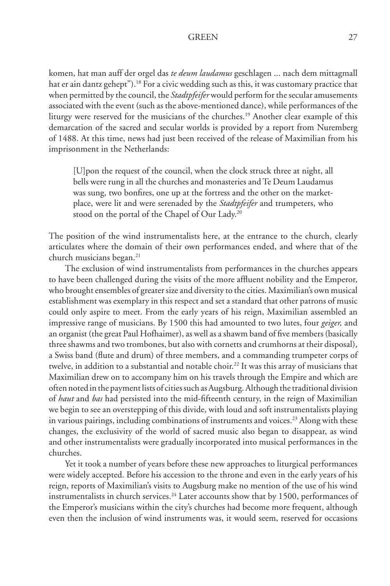komen, hat man auff der orgel das *te deum laudamus* geschlagen ... nach dem mittagmall hat er ain dantz gehept").<sup>18</sup> For a civic wedding such as this, it was customary practice that when permitted by the council, the *Stadtpfeifer* would perform for the secular amusements associated with the event (such as the above-mentioned dance), while performances of the liturgy were reserved for the musicians of the churches.<sup>19</sup> Another clear example of this demarcation of the sacred and secular worlds is provided by a report from Nuremberg of 1488. At this time, news had just been received of the release of Maximilian from his imprisonment in the Netherlands:

[U]pon the request of the council, when the clock struck three at night, all bells were rung in all the churches and monasteries and Te Deum Laudamus was sung, two bonfires, one up at the fortress and the other on the marketplace, were lit and were serenaded by the *Stadtpfeifer* and trumpeters, who stood on the portal of the Chapel of Our Lady.<sup>20</sup>

The position of the wind instrumentalists here, at the entrance to the church, clearly articulates where the domain of their own performances ended, and where that of the church musicians began.<sup>21</sup>

The exclusion of wind instrumentalists from performances in the churches appears to have been challenged during the visits of the more affluent nobility and the Emperor, who brought ensembles of greater size and diversity to the cities. Maximilian's own musical establishment was exemplary in this respect and set a standard that other patrons of music could only aspire to meet. From the early years of his reign, Maximilian assembled an impressive range of musicians. By 1500 this had amounted to two lutes, four *geiger,* and an organist (the great Paul Hofhaimer), as well as a shawm band of five members (basically three shawms and two trombones, but also with cornetts and crumhorns at their disposal), a Swiss band (flute and drum) of three members, and a commanding trumpeter corps of twelve, in addition to a substantial and notable choir.<sup>22</sup> It was this array of musicians that Maximilian drew on to accompany him on his travels through the Empire and which are often noted in the payment lists of cities such as Augsburg. Although the traditional division of *haut* and *bas* had persisted into the mid-fifteenth century, in the reign of Maximilian we begin to see an overstepping of this divide, with loud and soft instrumentalists playing in various pairings, including combinations of instruments and voices.<sup>23</sup> Along with these changes, the exclusivity of the world of sacred music also began to disappear, as wind and other instrumentalists were gradually incorporated into musical performances in the churches.

Yet it took a number of years before these new approaches to liturgical performances were widely accepted. Before his accession to the throne and even in the early years of his reign, reports of Maximilian's visits to Augsburg make no mention of the use of his wind instrumentalists in church services.<sup>24</sup> Later accounts show that by 1500, performances of the Emperor's musicians within the city's churches had become more frequent, although even then the inclusion of wind instruments was, it would seem, reserved for occasions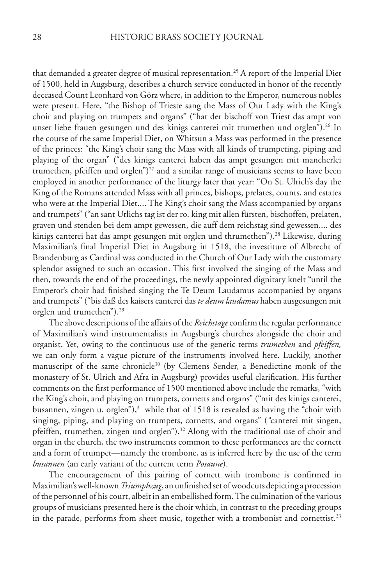that demanded a greater degree of musical representation.<sup>25</sup> A report of the Imperial Diet of 1500, held in Augsburg, describes a church service conducted in honor of the recently deceased Count Leonhard von Görz where, in addition to the Emperor, numerous nobles were present. Here, "the Bishop of Trieste sang the Mass of Our Lady with the King's choir and playing on trumpets and organs" ("hat der bischoff von Triest das ampt von unser liebe frauen gesungen und des kinigs canterei mit trumethen und orglen").<sup>26</sup> In the course of the same Imperial Diet, on Whitsun a Mass was performed in the presence of the princes: "the King's choir sang the Mass with all kinds of trumpeting, piping and playing of the organ" ("des kinigs canterei haben das ampt gesungen mit mancherlei trumethen, pfeiffen und orglen")<sup>27</sup> and a similar range of musicians seems to have been employed in another performance of the liturgy later that year: "On St. Ulrich's day the King of the Romans attended Mass with all princes, bishops, prelates, counts, and estates who were at the Imperial Diet.... The King's choir sang the Mass accompanied by organs and trumpets" ("an sant Urlichs tag ist der ro. king mit allen fürsten, bischoffen, prelaten, graven und stenden bei dem ampt gewessen, die auff dem reichstag sind gewessen.... des kinigs canterei hat das ampt gesungen mit orglen und thrumethen").<sup>28</sup> Likewise, during Maximilian's final Imperial Diet in Augsburg in 1518, the investiture of Albrecht of Brandenburg as Cardinal was conducted in the Church of Our Lady with the customary splendor assigned to such an occasion. This first involved the singing of the Mass and then, towards the end of the proceedings, the newly appointed dignitary knelt "until the Emperor's choir had finished singing the Te Deum Laudamus accompanied by organs and trumpets" ("bis daß des kaisers canterei das *te deum laudamus* haben ausgesungen mit orglen und trumethen").29

The above descriptions of the affairs of the *Reichstage* confirm the regular performance of Maximilian's wind instrumentalists in Augsburg's churches alongside the choir and organist. Yet, owing to the continuous use of the generic terms *trumethen* and *pfeiffen,* we can only form a vague picture of the instruments involved here. Luckily, another manuscript of the same chronicle<sup>30</sup> (by Clemens Sender, a Benedictine monk of the monastery of St. Ulrich and Afra in Augsburg) provides useful clarification. His further comments on the first performance of 1500 mentioned above include the remarks, "with the King's choir, and playing on trumpets, cornetts and organs" ("mit des kinigs canterei, busannen, zingen u. orglen"), $31$  while that of 1518 is revealed as having the "choir with singing, piping, and playing on trumpets, cornetts, and organs" (*"*canterei mit singen, pfeiffen, trumethen, zingen und orglen").<sup>32</sup> Along with the traditional use of choir and organ in the church, the two instruments common to these performances are the cornett and a form of trumpet—namely the trombone, as is inferred here by the use of the term *busannen* (an early variant of the current term *Posaune*).

The encouragement of this pairing of cornett with trombone is confirmed in Maximilian's well-known *Triumphzug*, an unfinished set of woodcuts depicting a procession of the personnel of his court, albeit in an embellished form. The culmination of the various groups of musicians presented here is the choir which, in contrast to the preceding groups in the parade, performs from sheet music, together with a trombonist and cornettist.<sup>33</sup>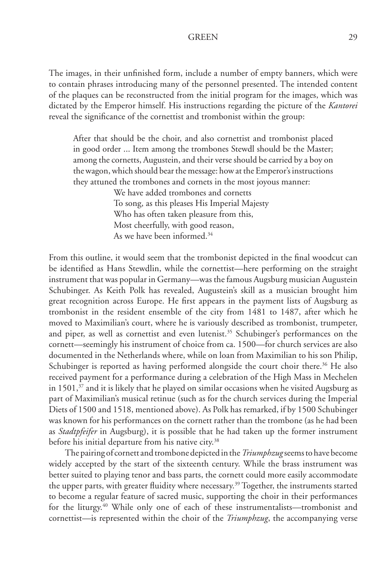The images, in their unfinished form, include a number of empty banners, which were to contain phrases introducing many of the personnel presented. The intended content of the plaques can be reconstructed from the initial program for the images, which was dictated by the Emperor himself. His instructions regarding the picture of the *Kantorei*  reveal the significance of the cornettist and trombonist within the group:

After that should be the choir, and also cornettist and trombonist placed in good order ... Item among the trombones Stewdl should be the Master; among the cornetts, Augustein, and their verse should be carried by a boy on the wagon, which should bear the message: how at the Emperor's instructions they attuned the trombones and cornets in the most joyous manner:

We have added trombones and cornetts To song, as this pleases His Imperial Majesty Who has often taken pleasure from this, Most cheerfully, with good reason, As we have been informed.34

From this outline, it would seem that the trombonist depicted in the final woodcut can be identified as Hans Stewdlin, while the cornettist—here performing on the straight instrument that was popular in Germany—was the famous Augsburg musician Augustein Schubinger. As Keith Polk has revealed, Augustein's skill as a musician brought him great recognition across Europe. He first appears in the payment lists of Augsburg as trombonist in the resident ensemble of the city from 1481 to 1487, after which he moved to Maximilian's court, where he is variously described as trombonist, trumpeter, and piper, as well as cornettist and even lutenist.<sup>35</sup> Schubinger's performances on the cornett—seemingly his instrument of choice from ca. 1500—for church services are also documented in the Netherlands where, while on loan from Maximilian to his son Philip, Schubinger is reported as having performed alongside the court choir there.<sup>36</sup> He also received payment for a performance during a celebration of the High Mass in Mechelen in  $1501<sup>37</sup>$  and it is likely that he played on similar occasions when he visited Augsburg as part of Maximilian's musical retinue (such as for the church services during the Imperial Diets of 1500 and 1518, mentioned above). As Polk has remarked, if by 1500 Schubinger was known for his performances on the cornett rather than the trombone (as he had been as *Stadtpfeifer* in Augsburg), it is possible that he had taken up the former instrument before his initial departure from his native city.<sup>38</sup>

The pairing of cornett and trombone depicted in the *Triumphzug* seems to have become widely accepted by the start of the sixteenth century. While the brass instrument was better suited to playing tenor and bass parts, the cornett could more easily accommodate the upper parts, with greater fluidity where necessary.<sup>39</sup> Together, the instruments started to become a regular feature of sacred music, supporting the choir in their performances for the liturgy.<sup>40</sup> While only one of each of these instrumentalists—trombonist and cornettist—is represented within the choir of the *Triumphzug*, the accompanying verse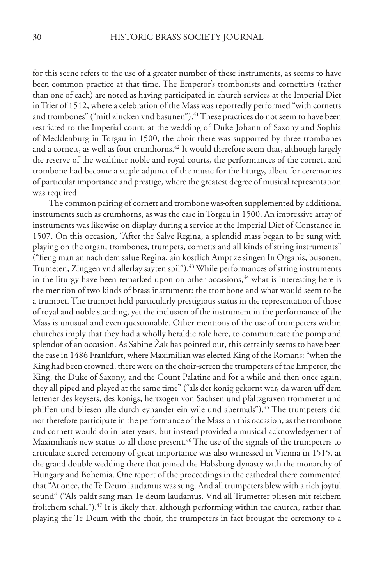for this scene refers to the use of a greater number of these instruments, as seems to have been common practice at that time. The Emperor's trombonists and cornettists (rather than one of each) are noted as having participated in church services at the Imperial Diet in Trier of 1512, where a celebration of the Mass was reportedly performed "with cornetts and trombones" ("mitl zincken vnd basunen").<sup>41</sup> These practices do not seem to have been restricted to the Imperial court; at the wedding of Duke Johann of Saxony and Sophia of Mecklenburg in Torgau in 1500, the choir there was supported by three trombones and a cornett, as well as four crumhorns.<sup>42</sup> It would therefore seem that, although largely the reserve of the wealthier noble and royal courts, the performances of the cornett and trombone had become a staple adjunct of the music for the liturgy, albeit for ceremonies of particular importance and prestige, where the greatest degree of musical representation was required.

The common pairing of cornett and trombone was often supplemented by additional instruments such as crumhorns, as was the case in Torgau in 1500. An impressive array of instruments was likewise on display during a service at the Imperial Diet of Constance in 1507. On this occasion, "After the Salve Regina, a splendid mass began to be sung with playing on the organ, trombones, trumpets, cornetts and all kinds of string instruments" ("fieng man an nach dem salue Regina, ain kostlich Ampt ze singen In Organis, busonen, Trumeten, Zinggen vnd allerlay sayten spil").<sup>43</sup> While performances of string instruments in the liturgy have been remarked upon on other occasions, $44$  what is interesting here is the mention of two kinds of brass instrument: the trombone and what would seem to be a trumpet. The trumpet held particularly prestigious status in the representation of those of royal and noble standing, yet the inclusion of the instrument in the performance of the Mass is unusual and even questionable. Other mentions of the use of trumpeters within churches imply that they had a wholly heraldic role here, to communicate the pomp and splendor of an occasion. As Sabine Žak has pointed out, this certainly seems to have been the case in 1486 Frankfurt, where Maximilian was elected King of the Romans: "when the King had been crowned, there were on the choir-screen the trumpeters of the Emperor, the King, the Duke of Saxony, and the Count Palatine and for a while and then once again, they all piped and played at the same time" ("als der konig gekornt war, da waren uff dem lettener des keysers, des konigs, hertzogen von Sachsen und pfaltzgraven trommeter und phiffen und bliesen alle durch eynander ein wile und abermals").<sup>45</sup> The trumpeters did not therefore participate in the performance of the Mass on this occasion, as the trombone and cornett would do in later years, but instead provided a musical acknowledgement of Maximilian's new status to all those present.<sup>46</sup> The use of the signals of the trumpeters to articulate sacred ceremony of great importance was also witnessed in Vienna in 1515, at the grand double wedding there that joined the Habsburg dynasty with the monarchy of Hungary and Bohemia. One report of the proceedings in the cathedral there commented that "At once, the Te Deum laudamus was sung. And all trumpeters blew with a rich joyful sound" ("Als paldt sang man Te deum laudamus. Vnd all Trumetter pliesen mit reichem frolichem schall").<sup>47</sup> It is likely that, although performing within the church, rather than playing the Te Deum with the choir, the trumpeters in fact brought the ceremony to a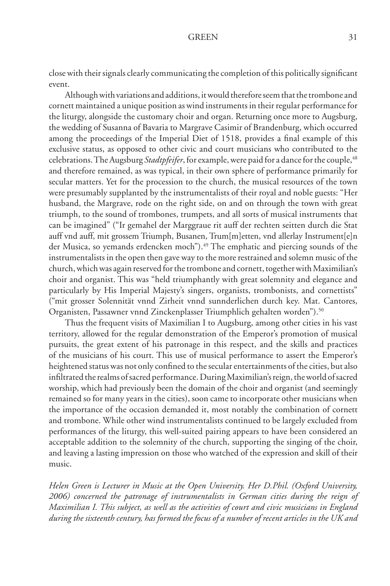close with their signals clearly communicating the completion of this politically significant event.

Although with variations and additions, it would therefore seem that the trombone and cornett maintained a unique position as wind instruments in their regular performance for the liturgy, alongside the customary choir and organ. Returning once more to Augsburg, the wedding of Susanna of Bavaria to Margrave Casimir of Brandenburg, which occurred among the proceedings of the Imperial Diet of 1518, provides a final example of this exclusive status, as opposed to other civic and court musicians who contributed to the celebrations. The Augsburg *Stadtpfeifer*, for example, were paid for a dance for the couple, <sup>48</sup> and therefore remained, as was typical, in their own sphere of performance primarily for secular matters. Yet for the procession to the church, the musical resources of the town were presumably supplanted by the instrumentalists of their royal and noble guests: "Her husband, the Margrave, rode on the right side, on and on through the town with great triumph, to the sound of trombones, trumpets, and all sorts of musical instruments that can be imagined" ("Ir gemahel der Marggraue rit auff der rechten seitten durch die Stat auff vnd auff, mit grossem Triumph, Busanen, Trum[m]etten, vnd allerlay Instrument[e]n der Musica, so yemands erdencken moch").<sup>49</sup> The emphatic and piercing sounds of the instrumentalists in the open then gave way to the more restrained and solemn music of the church, which was again reserved for the trombone and cornett, together with Maximilian's choir and organist. This was "held triumphantly with great solemnity and elegance and particularly by His Imperial Majesty's singers, organists, trombonists, and cornettists" ("mit grosser Solennität vnnd Zirheit vnnd sunnderlichen durch key. Mat. Cantores, Organisten, Passawner vnnd Zinckenplasser Triumphlich gehalten worden").50

Thus the frequent visits of Maximilian I to Augsburg, among other cities in his vast territory, allowed for the regular demonstration of the Emperor's promotion of musical pursuits, the great extent of his patronage in this respect, and the skills and practices of the musicians of his court. This use of musical performance to assert the Emperor's heightened status was not only confined to the secular entertainments of the cities, but also infiltrated the realms of sacred performance. During Maximilian's reign, the world of sacred worship, which had previously been the domain of the choir and organist (and seemingly remained so for many years in the cities), soon came to incorporate other musicians when the importance of the occasion demanded it, most notably the combination of cornett and trombone. While other wind instrumentalists continued to be largely excluded from performances of the liturgy, this well-suited pairing appears to have been considered an acceptable addition to the solemnity of the church, supporting the singing of the choir, and leaving a lasting impression on those who watched of the expression and skill of their music.

*Helen Green is Lecturer in Music at the Open University. Her D.Phil. (Oxford University, 2006) concerned the patronage of instrumentalists in German cities during the reign of Maximilian I. This subject, as well as the activities of court and civic musicians in England during the sixteenth century, has formed the focus of a number of recent articles in the UK and*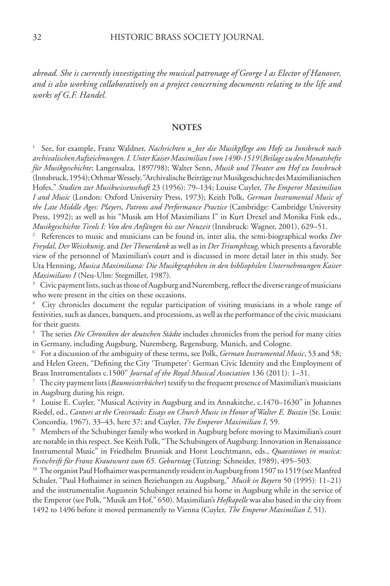*abroad. She is currently investigating the musical patronage of George I as Elector of Hanover, and is also working collaboratively on a project concerning documents relating to the life and works of G.F. Handel.*

## **NOTES**

1 See, for example, Franz Waldner, *Nachrichten u\_ber die Musikpflege am Hofe zu Innsbruck nach archivalischen Aufzeichnungen. I. Unter Kaiser Maximilian I von 1490-1519* (*Beilage zu denMonatshefte für Musikgeschichte*; Langensalza, 1897/98); Walter Senn, *Musik und Theater am Hof zu Innsbruck*  (Innsbruck, 1954); Othmar Wessely, "Archivalische Beiträge zur Musikgeschichte des Maximilianischen Hofes," *Studien zur Musikwissenschaft* 23 (1956): 79–134; Louise Cuyler, *The Emperor Maximilian I and Music* (London: Oxford University Press, 1973); Keith Polk, *German Instrumental Music of the Late Middle Ages: Players, Patrons and Performance Practice* (Cambridge: Cambridge University Press, 1992); as well as his "Musik am Hof Maximilians I" in Kurt Drexel and Monika Fink eds., *Musikgeschichte Tirols I: Von den Anfängen bis zur Neuzeit* (Innsbruck: Wagner, 2001), 629–51.

2 References to music and musicians can be found in, inter alia, the semi-biographical works *Der Freydal*, *Der Weisskunig,* and *Der Theuerdank* as well as in *Der Triumphzug,* which presents a favorable view of the personnel of Maximilian's court and is discussed in more detail later in this study. See Uta Henning, *Musica Maximiliana: Die Musikgraphiken in den bibliophilen Unternehmungen Kaiser Maximilians I* (Neu-Ulm: Stegmiller, 1987).

 $3$  Civic payment lists, such as those of Augsburg and Nuremberg, reflect the diverse range of musicians who were present in the cities on these occasions.

4 City chronicles document the regular participation of visiting musicians in a whole range of festivities, such as dances, banquets, and processions, as well as the performance of the civic musicians for their guests.

5 The series *Die Chroniken der deutschen Städte* includes chronicles from the period for many cities in Germany, including Augsburg, Nuremberg, Regensburg, Munich, and Cologne.

6 For a discussion of the ambiguity of these terms, see Polk, *German Instrumental Music*, 53 and 58; and Helen Green, "Defining the City 'Trumpeter': German Civic Identity and the Employment of Brass Instrumentalists c.1500" *Journal of the Royal Musical Association* 136 (2011): 1–31. 7 The city payment lists (*Baumeisterbücher*) testify to the frequent presence of Maximilian's musicians

in Augsburg during his reign.

8 Louise E. Cuyler, "Musical Activity in Augsburg and its Annakirche, c.1470–1630" in Johannes Riedel, ed., *Cantors at the Crossroads: Essays on Church Music in Honor of Walter E. Buszin* (St. Louis: Concordia, 1967), 33–43, here 37; and Cuyler, *The Emperor Maximilian I*, 59.

<sup>9</sup> Members of the Schubinger family who worked in Augsburg before moving to Maximilian's court are notable in this respect. See Keith Polk, "The Schubingers of Augsburg: Innovation in Renaissance Instrumental Music" in Friedhelm Brusniak and Horst Leuchtmann, eds., *Quaestiones in musica: Festschrift für Franz Krautwurst zum 65. Geburtstag* (Tutzing: Schneider, 1989), 495–503.

<sup>10</sup> The organist Paul Hofhaimer was permanently resident in Augsburg from 1507 to 1519 (see Manfred Schuler, "Paul Hofhaimer in seinen Beziehungen zu Augsburg," *Musik in Bayern* 50 (1995): 11–21) and the instrumentalist Augustein Schubinger retained his home in Augsburg while in the service of the Emperor (see Polk, "Musik am Hof," 650). Maximilian's *Hofkapelle* was also based in the city from 1492 to 1496 before it moved permanently to Vienna (Cuyler, *The Emperor Maximilian I*, 51).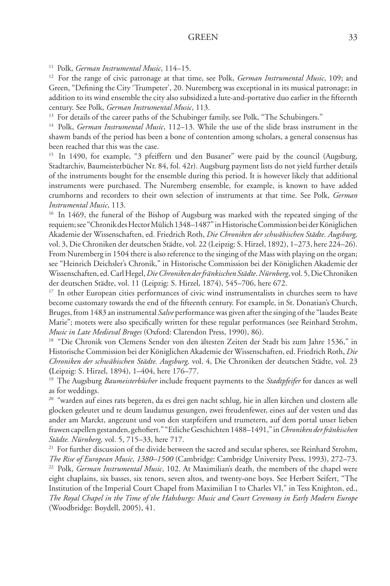11 Polk, *German Instrumental Music*, 114–15.

12 For the range of civic patronage at that time, see Polk, *German Instrumental Music*, 109; and Green, "Defining the City 'Trumpeter', 20. Nuremberg was exceptional in its musical patronage; in addition to its wind ensemble the city also subsidized a lute-and-portative duo earlier in the fifteenth century. See Polk, *German Instrumental Music*, 113.

<sup>13</sup> For details of the career paths of the Schubinger family, see Polk, "The Schubingers."

14 Polk, *German Instrumental Music*, 112–13. While the use of the slide brass instrument in the shawm bands of the period has been a bone of contention among scholars, a general consensus has been reached that this was the case.

<sup>15</sup> In 1490, for example, "3 pfeiffern und den Busaner" were paid by the council (Augsburg, Stadtarchiv, Baumeisterbücher Nr. 84, fol. 42r). Augsburg payment lists do not yield further details of the instruments bought for the ensemble during this period. It is however likely that additional instruments were purchased. The Nuremberg ensemble, for example, is known to have added crumhorns and recorders to their own selection of instruments at that time. See Polk, *German Instrumental Music*, 113.

<sup>16</sup> In 1469, the funeral of the Bishop of Augsburg was marked with the repeated singing of the requiem; see "Chronik des Hector Mülich 1348–1487" in Historische Commission bei der Königlichen Akademie der Wissenschaften, ed. Friedrich Roth, *Die Chroniken der schwäbischen Städte. Augsburg,* vol. 3, Die Chroniken der deutschen Städte, vol. 22 (Leipzig: S. Hirzel, 1892), 1–273, here 224–26). From Nuremberg in 1504 there is also reference to the singing of the Mass with playing on the organ; see "Heinrich Deichsler's Chronik," in Historische Commission bei der Königlichen Akademie der Wissenschaften, ed. Carl Hegel, *Die Chroniken der fränkischen Städte*. *Nürnberg*, vol. 5, Die Chroniken der deutschen Städte, vol. 11 (Leipzig: S. Hirzel, 1874), 545–706, here 672.

<sup>17</sup> In other European cities performances of civic wind instrumentalists in churches seem to have become customary towards the end of the fifteenth century. For example, in St. Donatian's Church, Bruges, from 1483 an instrumental *Salve* performance was given after the singing of the "laudes Beate Marie"; motets were also specifically written for these regular performances (see Reinhard Strohm, *Music in Late Medieval Bruges* (Oxford: Clarendon Press, 1990), 86).

<sup>18</sup> "Die Chronik von Clemens Sender von den ältesten Zeiten der Stadt bis zum Jahre 1536," in Historische Commission bei der Königlichen Akademie der Wissenschaften, ed. Friedrich Roth, *Die Chroniken der schwäbischen Städte. Augsburg,* vol. 4, Die Chroniken der deutschen Städte, vol. 23 **(**Leipzig: S. Hirzel, 1894), 1–404, here 176–77.

19 The Augsburg *Baumeisterbücher* include frequent payments to the *Stadtpfeifer* for dances as well as for weddings.

<sup>20</sup> "warden auf eines rats begeren, da es drei gen nacht schlug, hie in allen kirchen und clostern alle glocken geleutet und te deum laudamus gesungen, zwei freudenfewer, eines auf der vesten und das ander am Marckt, angezunt und von den statpfeifern und trumetern, auf dem portal unser lieben frawen capellen gestanden, gehofiert." "Etliche Geschichten 1488–1491," in *Chroniken der fränkischen Städte. Nürnberg,* vol. 5, 715–33, here 717.

<sup>21</sup> For further discussion of the divide between the sacred and secular spheres, see Reinhard Strohm, *The Rise of European Music, 1380–1500* (Cambridge: Cambridge University Press, 1993), 272–73. 22 Polk, *German Instrumental Music*, 102. At Maximilian's death, the members of the chapel were eight chaplains, six basses, six tenors, seven altos, and twenty-one boys. See Herbert Seifert, "The Institution of the Imperial Court Chapel from Maximilian I to Charles VI," in Tess Knighton, ed., *The Royal Chapel in the Time of the Habsburgs: Music and Court Ceremony in Early Modern Europe*  (Woodbridge: Boydell, 2005), 41.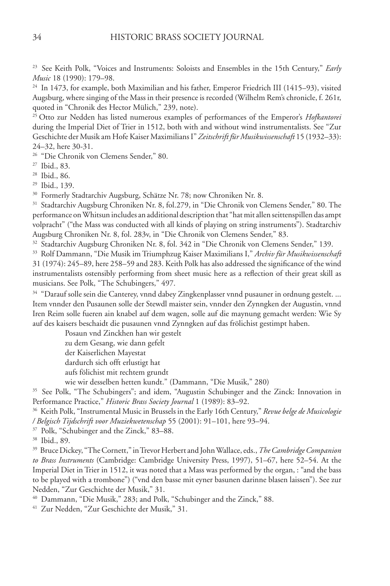23 See Keith Polk, "Voices and Instruments: Soloists and Ensembles in the 15th Century," *Early Music* 18 (1990): 179–98.

24 In 1473, for example, both Maximilian and his father, Emperor Friedrich III (1415–93), visited Augsburg, where singing of the Mass in their presence is recorded (Wilhelm Rem's chronicle, f. 261r, quoted in "Chronik des Hector Mülich," 239, note).

<sup>25</sup> Otto zur Nedden has listed numerous examples of performances of the Emperor's *Hofkantorei*  during the Imperial Diet of Trier in 1512, both with and without wind instrumentalists. See "Zur Geschichte der Musik am Hofe Kaiser Maximilians I" *Zeitschrift für Musikwissenschaft* 15 (1932–33): 24–32, here 30-31.

26 "Die Chronik von Clemens Sender," 80.

27 Ibid., 83.

28 Ibid., 86.

29 Ibid., 139.

<sup>30</sup> Formerly Stadtarchiv Augsburg, Schätze Nr. 78; now Chroniken Nr. 8.

<sup>31</sup> Stadtarchiv Augsburg Chroniken Nr. 8, fol.279, in "Die Chronik von Clemens Sender," 80. The performance on Whitsun includes an additional description that "hat mit allen seittenspillen das ampt volpracht" ("the Mass was conducted with all kinds of playing on string instruments"). Stadtarchiv Augsburg Chroniken Nr. 8, fol. 283v, in "Die Chronik von Clemens Sender," 83.

32 Stadtarchiv Augsburg Chroniken Nr. 8, fol. 342 in "Die Chronik von Clemens Sender," 139.

33 Rolf Dammann, "Die Musik im Triumphzug Kaiser Maximilians I," *Archiv für Musikwissenschaft*  31 (1974): 245–89, here 258–59 and 283. Keith Polk has also addressed the significance of the wind instrumentalists ostensibly performing from sheet music here as a reflection of their great skill as musicians. See Polk, "The Schubingers," 497.

<sup>34</sup> "Darauf solle sein die Canterey, vnnd dabey Zingkenplasser vnnd pusauner in ordnung gestelt. ... Item vnnder den Pusaunen solle der Stewdl maister sein, vnnder den Zynngken der Augustin, vnnd Iren Reim solle fueren ain knabel auf dem wagen, solle auf die maynung gemacht werden: Wie Sy auf des kaisers beschaidt die pusaunen vnnd Zynngken auf das frölichist gestimpt haben.

Posaun vnd Zinckhen han wir gestelt

zu dem Gesang, wie dann gefelt

der Kaiserlichen Mayestat

dardurch sich offt erlustigt hat

aufs fölichist mit rechtem grundt

wie wir desselben hetten kundt." (Dammann, "Die Musik," 280)

<sup>35</sup> See Polk, "The Schubingers"; and idem, "Augustin Schubinger and the Zinck: Innovation in Performance Practice," *Historic Brass Society Journal* 1 (1989): 83–92.

36 Keith Polk, "Instrumental Music in Brussels in the Early 16th Century," *Revue belge de Musicologie / Belgisch Tijdschrift voor Muziekwetenschap* 55 (2001): 91–101, here 93–94.

37 Polk, "Schubinger and the Zinck," 83–88.

38 Ibid., 89.

39 Bruce Dickey, "The Cornett," in Trevor Herbert and John Wallace, eds., *The Cambridge Companion to Brass Instruments* (Cambridge: Cambridge University Press, 1997), 51–67, here 52–54. At the Imperial Diet in Trier in 1512, it was noted that a Mass was performed by the organ, : "and the bass to be played with a trombone") ("vnd den basse mit eyner basunen darinne blasen laissen"). See zur Nedden, "Zur Geschichte der Musik," 31.

40 Dammann, "Die Musik," 283; and Polk, "Schubinger and the Zinck," 88.

41 Zur Nedden, "Zur Geschichte der Musik," 31.